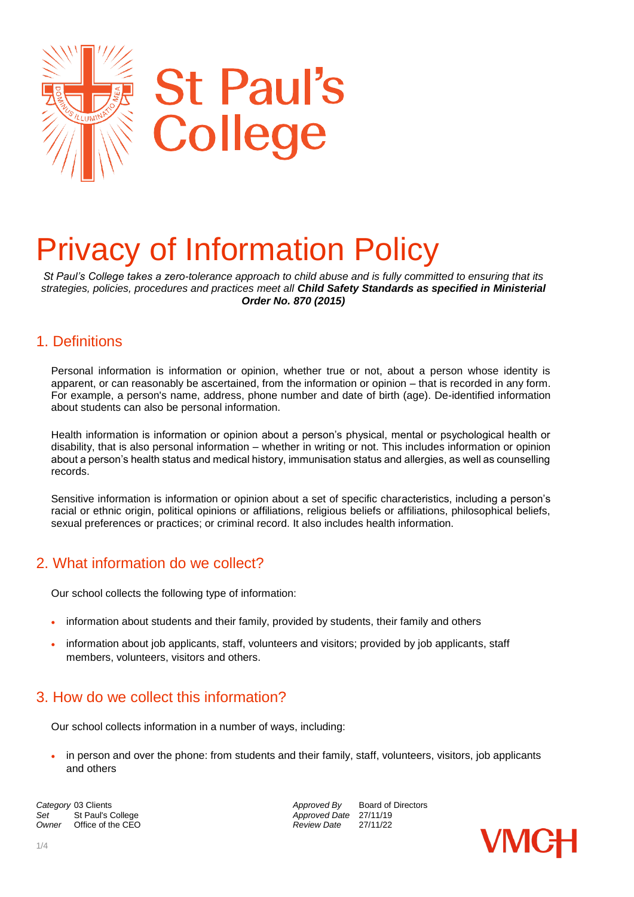

# Privacy of Information Policy

*St Paul's College takes a zero-tolerance approach to child abuse and is fully committed to ensuring that its strategies, policies, procedures and practices meet all Child Safety Standards as specified in Ministerial Order No. 870 (2015)*

## 1. Definitions

Personal information is information or opinion, whether true or not, about a person whose identity is apparent, or can reasonably be ascertained, from the information or opinion – that is recorded in any form. For example, a person's name, address, phone number and date of birth (age). De-identified information about students can also be personal information.

Health information is information or opinion about a person's physical, mental or psychological health or disability, that is also personal information – whether in writing or not. This includes information or opinion about a person's health status and medical history, immunisation status and allergies, as well as counselling records.

Sensitive information is information or opinion about a set of specific characteristics, including a person's racial or ethnic origin, political opinions or affiliations, religious beliefs or affiliations, philosophical beliefs, sexual preferences or practices; or criminal record. It also includes health information.

# 2. What information do we collect?

Our school collects the following type of information:

- information about students and their family, provided by students, their family and others
- information about job applicants, staff, volunteers and visitors; provided by job applicants, staff members, volunteers, visitors and others.

## 3. How do we collect this information?

Our school collects information in a number of ways, including:

 in person and over the phone: from students and their family, staff, volunteers, visitors, job applicants and others

**Category** 03 Clients *Category* 03 Clients *Approved By* Board of Directors **Set** St Paul's College **Approved Date** 27/11/19<br>
Owner Office of the CEO **Approved Date** 27/11/22 *Office of the CEO* 

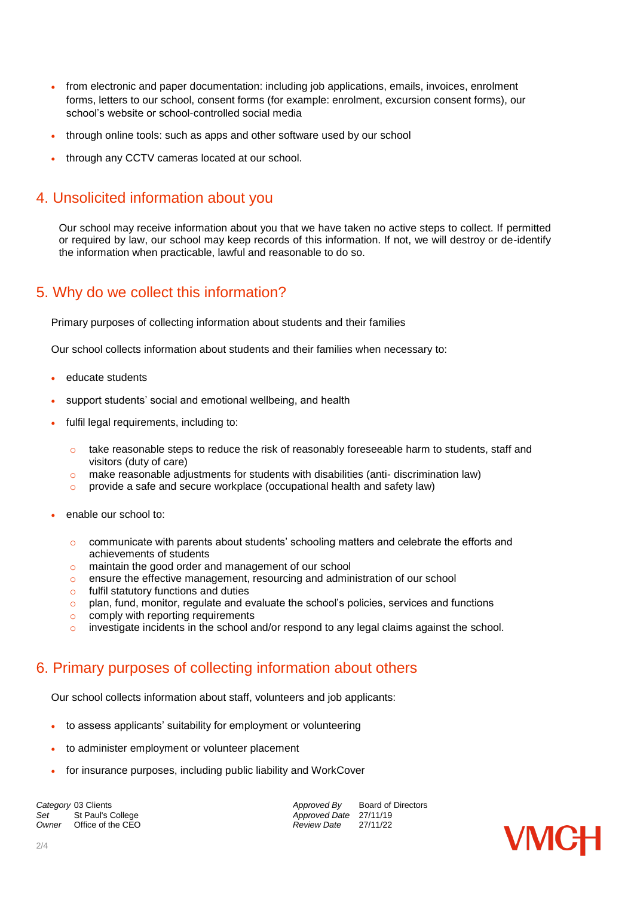- from electronic and paper documentation: including job applications, emails, invoices, enrolment forms, letters to our school, consent forms (for example: enrolment, excursion consent forms), our school's website or school-controlled social media
- through online tools: such as apps and other software used by our school
- through any CCTV cameras located at our school.

## 4. Unsolicited information about you

Our school may receive information about you that we have taken no active steps to collect. If permitted or required by law, our school may keep records of this information. If not, we will destroy or de-identify the information when practicable, lawful and reasonable to do so.

## 5. Why do we collect this information?

Primary purposes of collecting information about students and their families

Our school collects information about students and their families when necessary to:

- educate students
- support students' social and emotional wellbeing, and health
- fulfil legal requirements, including to:
	- $\circ$  take reasonable steps to reduce the risk of reasonably foreseeable harm to students, staff and visitors (duty of care)
	- o make reasonable adjustments for students with disabilities (anti- discrimination law)
	- o provide a safe and secure workplace (occupational health and safety law)
- enable our school to:
	- $\circ$  communicate with parents about students' schooling matters and celebrate the efforts and achievements of students
	- o maintain the good order and management of our school
	- o ensure the effective management, resourcing and administration of our school
	- o fulfil statutory functions and duties
	- $\circ$  plan, fund, monitor, regulate and evaluate the school's policies, services and functions
	- o comply with reporting requirements
	- investigate incidents in the school and/or respond to any legal claims against the school.

# 6. Primary purposes of collecting information about others

Our school collects information about staff, volunteers and job applicants:

- to assess applicants' suitability for employment or volunteering
- to administer employment or volunteer placement
- for insurance purposes, including public liability and WorkCover

**Category** 03 Clients *Category* 03 Clients *Approved By* Board of Directors *Approved By* Board of Directors Set St Paul's College *Set* Approved Date 27/11/19<br>
Owner Office of the CEO **Approved Date** 27/11/22 *Office of the CEO* 

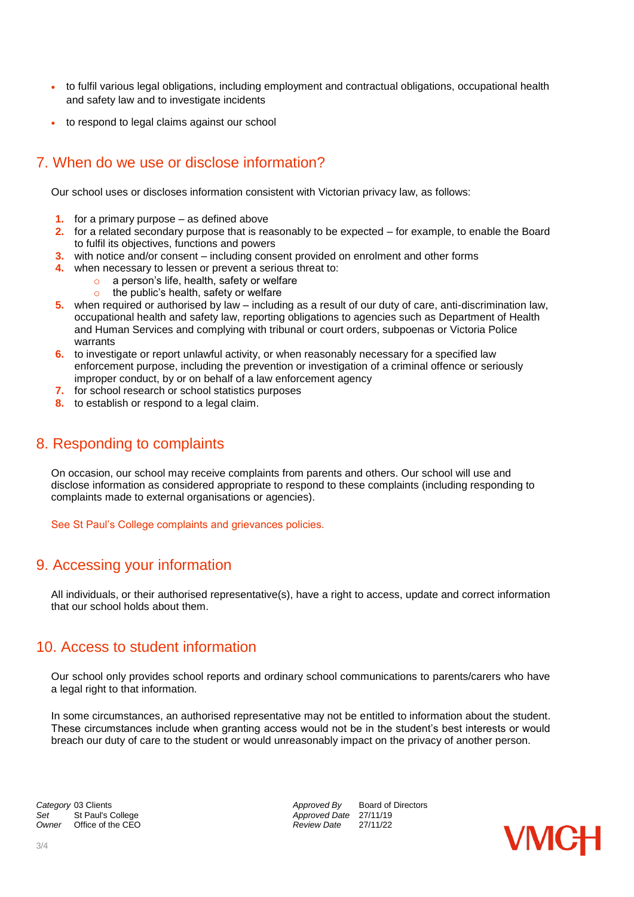- to fulfil various legal obligations, including employment and contractual obligations, occupational health and safety law and to investigate incidents
- to respond to legal claims against our school

## 7. When do we use or disclose information?

Our school uses or discloses information consistent with Victorian privacy law, as follows:

- **1.** for a primary purpose as defined above
- **2.** for a related secondary purpose that is reasonably to be expected for example, to enable the Board to fulfil its objectives, functions and powers
- **3.** with notice and/or consent including consent provided on enrolment and other forms
- **4.** when necessary to lessen or prevent a serious threat to:
	- o a person's life, health, safety or welfare
	- o the public's health, safety or welfare
- **5.** when required or authorised by law including as a result of our duty of care, anti-discrimination law, occupational health and safety law, reporting obligations to agencies such as Department of Health and Human Services and complying with tribunal or court orders, subpoenas or Victoria Police warrants
- **6.** to investigate or report unlawful activity, or when reasonably necessary for a specified law enforcement purpose, including the prevention or investigation of a criminal offence or seriously improper conduct, by or on behalf of a law enforcement agency
- **7.** for school research or school statistics purposes
- **8.** to establish or respond to a legal claim.

## 8. Responding to complaints

On occasion, our school may receive complaints from parents and others. Our school will use and disclose information as considered appropriate to respond to these complaints (including responding to complaints made to external organisations or agencies).

See St Paul's College complaints and grievances policies.

## 9. Accessing your information

All individuals, or their authorised representative(s), have a right to access, update and correct information that our school holds about them.

## 10. Access to student information

Our school only provides school reports and ordinary school communications to parents/carers who have a legal right to that information.

In some circumstances, an authorised representative may not be entitled to information about the student. These circumstances include when granting access would not be in the student's best interests or would breach our duty of care to the student or would unreasonably impact on the privacy of another person.